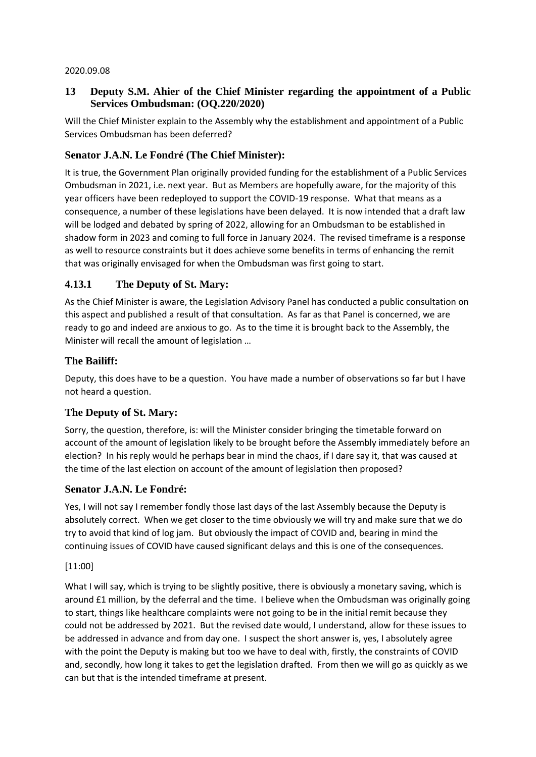#### 2020.09.08

### **13 Deputy S.M. Ahier of the Chief Minister regarding the appointment of a Public Services Ombudsman: (OQ.220/2020)**

Will the Chief Minister explain to the Assembly why the establishment and appointment of a Public Services Ombudsman has been deferred?

# **Senator J.A.N. Le Fondré (The Chief Minister):**

It is true, the Government Plan originally provided funding for the establishment of a Public Services Ombudsman in 2021, i.e. next year. But as Members are hopefully aware, for the majority of this year officers have been redeployed to support the COVID-19 response. What that means as a consequence, a number of these legislations have been delayed. It is now intended that a draft law will be lodged and debated by spring of 2022, allowing for an Ombudsman to be established in shadow form in 2023 and coming to full force in January 2024. The revised timeframe is a response as well to resource constraints but it does achieve some benefits in terms of enhancing the remit that was originally envisaged for when the Ombudsman was first going to start.

# **4.13.1 The Deputy of St. Mary:**

As the Chief Minister is aware, the Legislation Advisory Panel has conducted a public consultation on this aspect and published a result of that consultation. As far as that Panel is concerned, we are ready to go and indeed are anxious to go. As to the time it is brought back to the Assembly, the Minister will recall the amount of legislation …

### **The Bailiff:**

Deputy, this does have to be a question. You have made a number of observations so far but I have not heard a question.

### **The Deputy of St. Mary:**

Sorry, the question, therefore, is: will the Minister consider bringing the timetable forward on account of the amount of legislation likely to be brought before the Assembly immediately before an election? In his reply would he perhaps bear in mind the chaos, if I dare say it, that was caused at the time of the last election on account of the amount of legislation then proposed?

#### **Senator J.A.N. Le Fondré:**

Yes, I will not say I remember fondly those last days of the last Assembly because the Deputy is absolutely correct. When we get closer to the time obviously we will try and make sure that we do try to avoid that kind of log jam. But obviously the impact of COVID and, bearing in mind the continuing issues of COVID have caused significant delays and this is one of the consequences.

#### [11:00]

What I will say, which is trying to be slightly positive, there is obviously a monetary saving, which is around £1 million, by the deferral and the time. I believe when the Ombudsman was originally going to start, things like healthcare complaints were not going to be in the initial remit because they could not be addressed by 2021. But the revised date would, I understand, allow for these issues to be addressed in advance and from day one. I suspect the short answer is, yes, I absolutely agree with the point the Deputy is making but too we have to deal with, firstly, the constraints of COVID and, secondly, how long it takes to get the legislation drafted. From then we will go as quickly as we can but that is the intended timeframe at present.